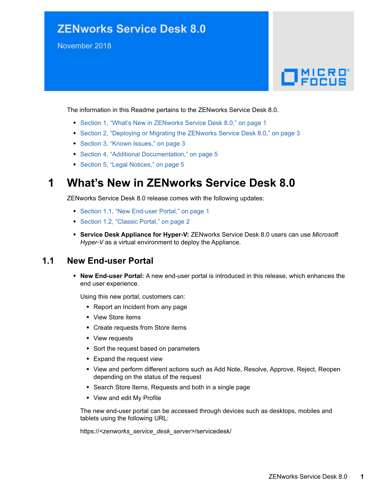# **ZENworks Service Desk 8.0**

November 2018

# $\Box$ MICRO'

The information in this Readme pertains to the ZENworks Service Desk 8.0.

- [Section 1, "What's New in ZENworks Service Desk 8.0," on page 1](#page-0-0)
- [Section 2, "Deploying or Migrating the ZENworks Service Desk 8.0," on page 3](#page-2-0)
- [Section 3, "Known Issues," on page 3](#page-2-1)
- [Section 4, "Additional Documentation," on page 5](#page-4-1)
- [Section 5, "Legal Notices," on page 5](#page-4-0)

# <span id="page-0-0"></span>**1 What's New in ZENworks Service Desk 8.0**

ZENworks Service Desk 8.0 release comes with the following updates:

- [Section 1.1, "New End-user Portal," on page 1](#page-0-1)
- [Section 1.2, "Classic Portal," on page 2](#page-1-0)
- **Service Desk Appliance for Hyper-V:** ZENworks Service Desk 8.0 users can use *Microsoft Hyper-V* as a virtual environment to deploy the Appliance.

#### <span id="page-0-1"></span>**1.1 New End-user Portal**

 **New End-user Portal:** A new end-user portal is introduced in this release, which enhances the end user experience.

Using this new portal, customers can:

- Report an Incident from any page
- View Store items
- Create requests from Store items
- View requests
- Sort the request based on parameters
- Expand the request view
- View and perform different actions such as Add Note, Resolve, Approve, Reject, Reopen depending on the status of the request
- Search Store Items, Requests and both in a single page
- View and edit My Profile

The new end-user portal can be accessed through devices such as desktops, mobiles and tablets using the following URL:

https://*<zenworks\_service\_desk\_server>*/servicedesk/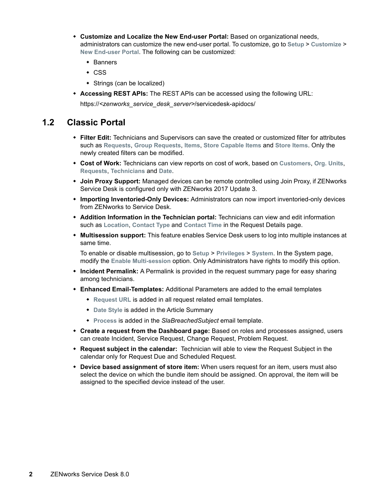- **Customize and Localize the New End-user Portal:** Based on organizational needs, administrators can customize the new end-user portal. To customize, go to **Setup** > **Customize** > **New End-user Portal**. The following can be customized:
	- Banners
	- $\overline{\phantom{a}}$  CSS
	- Strings (can be localized)
- **Accessing REST APIs:** The REST APIs can be accessed using the following URL: https://*<zenworks\_service\_desk\_server>*/servicedesk-apidocs/

#### <span id="page-1-0"></span>**1.2 Classic Portal**

- **Filter Edit:** Technicians and Supervisors can save the created or customized filter for attributes such as **Requests**, **Group Requests**, **Items**, **Store Capable Items** and **Store Items**. Only the newly created filters can be modified.
- **Cost of Work:** Technicians can view reports on cost of work, based on **Customers**, **Org. Units**, **Requests**, **Technicians** and **Date**.
- **Join Proxy Support:** Managed devices can be remote controlled using Join Proxy, if ZENworks Service Desk is configured only with ZENworks 2017 Update 3.
- **Importing Inventoried-Only Devices:** Administrators can now import inventoried-only devices from ZENworks to Service Desk.
- **Addition Information in the Technician portal:** Technicians can view and edit information such as **Location**, **Contact Type** and **Contact Time** in the Request Details page.
- **Multisession support:** This feature enables Service Desk users to log into multiple instances at same time.

To enable or disable multisession, go to **Setup** > **Privileges** > **System**. In the System page, modify the **Enable Multi-session** option. Only Administrators have rights to modify this option.

- **Incident Permalink:** A Permalink is provided in the request summary page for easy sharing among technicians.
- **Enhanced Email-Templates:** Additional Parameters are added to the email templates
	- **Request URL** is added in all request related email templates.
	- **Date Style** is added in the Article Summary
	- **Process** is added in the *SlaBreachedSubject* email template.
- **Create a request from the Dashboard page:** Based on roles and processes assigned, users can create Incident, Service Request, Change Request, Problem Request.
- **Request subject in the calendar:** Technician will able to view the Request Subject in the calendar only for Request Due and Scheduled Request.
- **Device based assignment of store item:** When users request for an item, users must also select the device on which the bundle item should be assigned. On approval, the item will be assigned to the specified device instead of the user.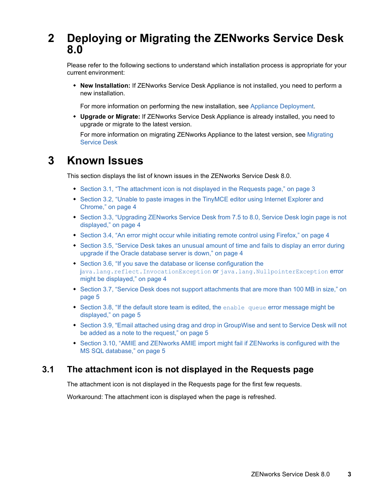# <span id="page-2-0"></span>**2 Deploying or Migrating the ZENworks Service Desk 8.0**

Please refer to the following sections to understand which installation process is appropriate for your current environment:

 **New Installation:** If ZENworks Service Desk Appliance is not installed, you need to perform a new installation.

For more information on performing the new installation, see [Appliance Deployment](https://www.novell.com/documentation/zenworks-service-desk-80/service_desk_appliance/data/blivd8k.html).

 **Upgrade or Migrate:** If ZENworks Service Desk Appliance is already installed, you need to upgrade or migrate to the latest version.

For more information on migrating ZENworks Appliance to the latest version, see [Migrating](https://www.novell.com/documentation/zenworks-service-desk-80/service_desk_appliance/data/byn6iwd.html)  [Service Desk](https://www.novell.com/documentation/zenworks-service-desk-80/service_desk_appliance/data/byn6iwd.html)

# <span id="page-2-1"></span>**3 Known Issues**

This section displays the list of known issues in the ZENworks Service Desk 8.0.

- [Section 3.1, "The attachment icon is not displayed in the Requests page," on page 3](#page-2-2)
- Section 3.2, "Unable to paste images in the TinyMCE editor using Internet Explorer and [Chrome," on page 4](#page-3-0)
- Section 3.3, "Upgrading ZENworks Service Desk from 7.5 to 8.0, Service Desk login page is not [displayed," on page 4](#page-3-1)
- [Section 3.4, "An error might occur while initiating remote control using Firefox," on page 4](#page-3-2)
- Section 3.5, "Service Desk takes an unusual amount of time and fails to display an error during [upgrade if the Oracle database server is down," on page 4](#page-3-3)
- [Section 3.6, "If you save the database or license configuration the](#page-3-4)  j[ava.lang.reflect.InvocationException](#page-3-4) or java.lang.NullpointerException error [might be displayed," on page 4](#page-3-4)
- Section 3.7, "Service Desk does not support attachments that are more than 100 MB in size," on [page 5](#page-4-2)
- [Section 3.8, "If the default store team is edited, the](#page-4-3) enable queue error message might be [displayed," on page 5](#page-4-3)
- [Section 3.9, "Email attached using drag and drop in GroupWise and sent to Service Desk will not](#page-4-4)  [be added as a note to the request," on page 5](#page-4-4)
- Section 3.10, "AMIE and ZENworks AMIE import might fail if ZENworks is configured with the [MS SQL database," on page 5](#page-4-5)

#### <span id="page-2-2"></span>**3.1 The attachment icon is not displayed in the Requests page**

The attachment icon is not displayed in the Requests page for the first few requests.

Workaround: The attachment icon is displayed when the page is refreshed.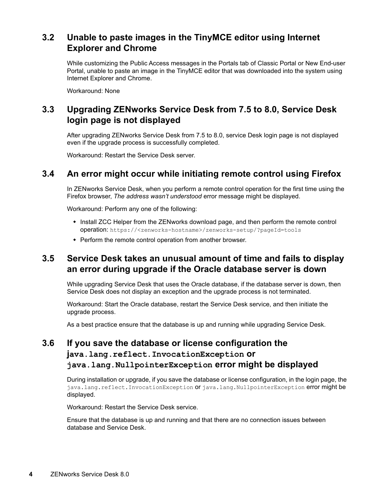## <span id="page-3-0"></span>**3.2 Unable to paste images in the TinyMCE editor using Internet Explorer and Chrome**

While customizing the Public Access messages in the Portals tab of Classic Portal or New End-user Portal, unable to paste an image in the TinyMCE editor that was downloaded into the system using Internet Explorer and Chrome.

Workaround: None

## <span id="page-3-1"></span>**3.3 Upgrading ZENworks Service Desk from 7.5 to 8.0, Service Desk login page is not displayed**

After upgrading ZENworks Service Desk from 7.5 to 8.0, service Desk login page is not displayed even if the upgrade process is successfully completed.

Workaround: Restart the Service Desk server.

#### <span id="page-3-2"></span>**3.4 An error might occur while initiating remote control using Firefox**

In ZENworks Service Desk, when you perform a remote control operation for the first time using the Firefox browser, *The address wasn't understood* error message might be displayed.

Workaround: Perform any one of the following:

- Install ZCC Helper from the ZENworks download page, and then perform the remote control operation: https://<zenworks-hostname>/zenworks-setup/?pageId=tools
- Perform the remote control operation from another browser.

## <span id="page-3-3"></span>**3.5 Service Desk takes an unusual amount of time and fails to display an error during upgrade if the Oracle database server is down**

While upgrading Service Desk that uses the Oracle database, if the database server is down, then Service Desk does not display an exception and the upgrade process is not terminated.

Workaround: Start the Oracle database, restart the Service Desk service, and then initiate the upgrade process.

As a best practice ensure that the database is up and running while upgrading Service Desk.

# <span id="page-3-4"></span>**3.6 If you save the database or license configuration the java.lang.reflect.InvocationException or java.lang.NullpointerException error might be displayed**

During installation or upgrade, if you save the database or license configuration, in the login page, the java.lang.reflect.InvocationException Or java.lang.NullpointerException error might be displayed.

Workaround: Restart the Service Desk service.

Ensure that the database is up and running and that there are no connection issues between database and Service Desk.